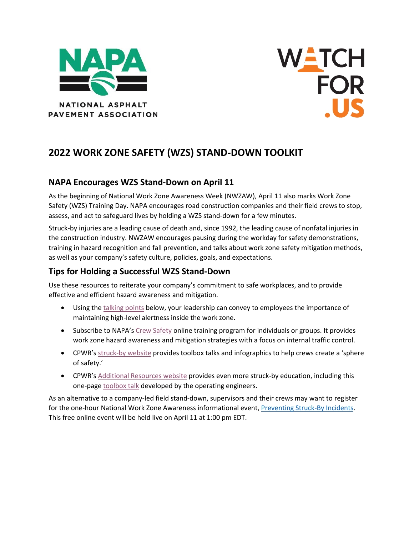



# **2022 WORK ZONE SAFETY (WZS) STAND-DOWN TOOLKIT**

#### **NAPA Encourages WZS Stand-Down on April 11**

As the beginning of National Work Zone Awareness Week (NWZAW), April 11 also marks Work Zone Safety (WZS) Training Day. NAPA encourages road construction companies and their field crews to stop, assess, and act to safeguard lives by holding a WZS stand-down for a few minutes.

Struck-by injuries are a leading cause of death and, since 1992, the leading cause of nonfatal injuries in the construction industry. NWZAW encourages pausing during the workday for safety demonstrations, training in hazard recognition and fall prevention, and talks about work zone safety mitigation methods, as well as your company's safety culture, policies, goals, and expectations.

### **Tips for Holding a Successful WZS Stand-Down**

Use these resources to reiterate your company's commitment to safe workplaces, and to provide effective and efficient hazard awareness and mitigation.

- Using th[e talking points](#page-1-0) below, your leadership can convey to employees the importance of maintaining high-level alertness inside the work zone.
- Subscribe to NAPA's [Crew Safety](https://www.asphaltpavement.org/programs/napa-programs/internal-traffic-control-program) online training program for individuals or groups. It provides work zone hazard awareness and mitigation strategies with a focus on internal traffic control.
- CPWR's [struck-by website](https://www.cpwr.com/research/research-to-practice-r2p/r2p-library/other-resources-for-stakeholders/struck-by-hazards/) provides toolbox talks and infographics to help crews create a 'sphere of safety.'
- CPWR's [Additional Resources website](https://www.cpwr.com/research/research-to-practice-r2p/r2p-library/other-resources-for-stakeholders/struck-by-hazards/additional-struck-by-resources/) provides even more struck-by education, including this one-pag[e toolbox talk](https://www.elcosh.org/record/document/1611/d001145.pdf) developed by the operating engineers.

As an alternative to a company-led field stand-down, supervisors and their crews may want to register for the one-hour National Work Zone Awareness informational event, [Preventing Struck-By Incidents.](https://www.cpwr.com/research/research-to-practice-r2p/r2p-library/other-resources-for-stakeholders/struck-by-hazards/) This free online event will be held live on April 11 at 1:00 pm EDT.